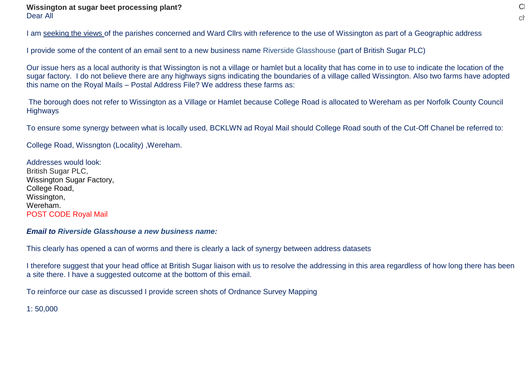## **Wissington at sugar beet processing plant?** Dear All

I am seeking the views of the parishes concerned and Ward Cllrs with reference to the use of Wissington as part of a Geographic address

I provide some of the content of an email sent to a new business name Riverside Glasshouse (part of British Sugar PLC)

Our issue hers as a local authority is that Wissington is not a village or hamlet but a locality that has come in to use to indicate the location of the sugar factory. I do not believe there are any highways signs indicating the boundaries of a village called Wissington. Also two farms have adopted this name on the Royal Mails – Postal Address File? We address these farms as:

 $C<sub>0</sub>$ 

 $\mathsf{c}\mathsf{r}$ 

The borough does not refer to Wissington as a Village or Hamlet because College Road is allocated to Wereham as per Norfolk County Council **Highways** 

To ensure some synergy between what is locally used, BCKLWN ad Royal Mail should College Road south of the Cut-Off Chanel be referred to:

College Road, Wissngton (Locality) ,Wereham.

## Addresses would look:

British Sugar PLC, Wissington Sugar Factory, College Road, Wissington, Wereham. POST CODE Royal Mail

*Email to Riverside Glasshouse a new business name:*

This clearly has opened a can of worms and there is clearly a lack of synergy between address datasets

I therefore suggest that your head office at British Sugar liaison with us to resolve the addressing in this area regardless of how long there has been a site there. I have a suggested outcome at the bottom of this email.

To reinforce our case as discussed I provide screen shots of Ordnance Survey Mapping

1: 50,000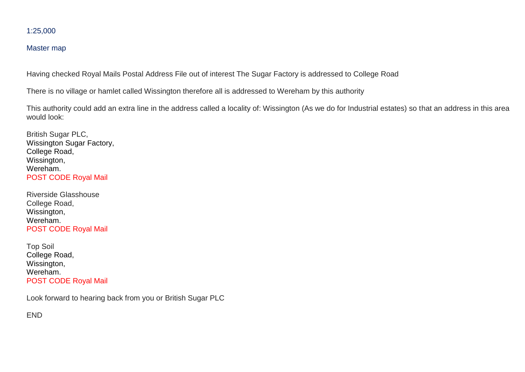1:25,000

## Master map

Having checked Royal Mails Postal Address File out of interest The Sugar Factory is addressed to College Road

There is no village or hamlet called Wissington therefore all is addressed to Wereham by this authority

This authority could add an extra line in the address called a locality of: Wissington (As we do for Industrial estates) so that an address in this area would look:

British Sugar PLC, Wissington Sugar Factory, College Road, Wissington, Wereham. POST CODE Royal Mail

Riverside Glasshouse College Road, Wissington, Wereham. POST CODE Royal Mail

Top Soil College Road, Wissington, Wereham. POST CODE Royal Mail

Look forward to hearing back from you or British Sugar PLC

END